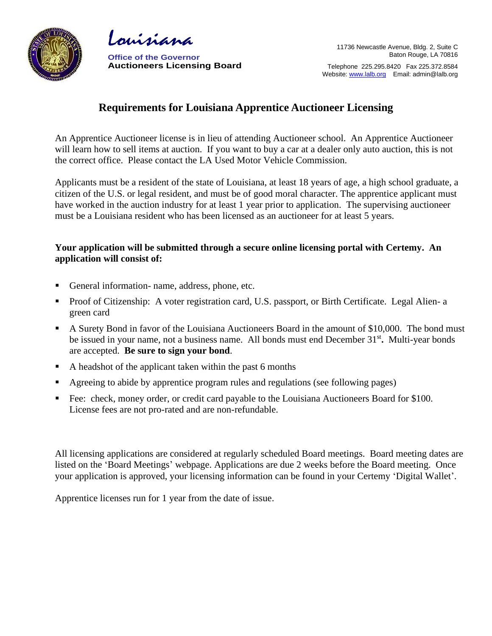



**Office of the Governor Auctioneers Licensing Board**

Telephone 225.295.8420 Fax 225.372.8584 Website: [www.lalb.org](http://www.lalb.org/) Email: admin@lalb.org

# **Requirements for Louisiana Apprentice Auctioneer Licensing**

An Apprentice Auctioneer license is in lieu of attending Auctioneer school. An Apprentice Auctioneer will learn how to sell items at auction. If you want to buy a car at a dealer only auto auction, this is not the correct office. Please contact the LA Used Motor Vehicle Commission.

Applicants must be a resident of the state of Louisiana, at least 18 years of age, a high school graduate, a citizen of the U.S. or legal resident, and must be of good moral character. The apprentice applicant must have worked in the auction industry for at least 1 year prior to application. The supervising auctioneer must be a Louisiana resident who has been licensed as an auctioneer for at least 5 years.

### **Your application will be submitted through a secure online licensing portal with Certemy. An application will consist of:**

- General information- name, address, phone, etc.
- Proof of Citizenship: A voter registration card, U.S. passport, or Birth Certificate. Legal Alien- a green card
- A Surety Bond in favor of the Louisiana Auctioneers Board in the amount of \$10,000. The bond must be issued in your name, not a business name. All bonds must end December 31<sup>st</sup>. Multi-year bonds are accepted. **Be sure to sign your bond**.
- A headshot of the applicant taken within the past 6 months
- Agreeing to abide by apprentice program rules and regulations (see following pages)
- Fee: check, money order, or credit card payable to the Louisiana Auctioneers Board for \$100. License fees are not pro-rated and are non-refundable.

All licensing applications are considered at regularly scheduled Board meetings. Board meeting dates are listed on the 'Board Meetings' webpage. Applications are due 2 weeks before the Board meeting. Once your application is approved, your licensing information can be found in your Certemy 'Digital Wallet'.

Apprentice licenses run for 1 year from the date of issue.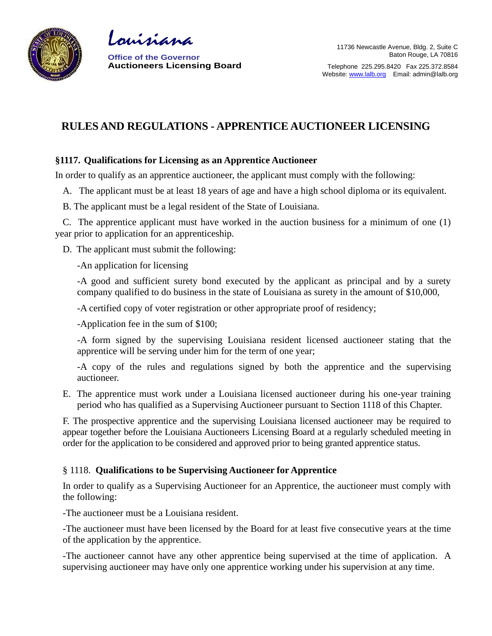

Louisiana

**Office of the Governor Auctioneers Licensing Board**

Telephone 225.295.8420 Fax 225.372.8584 Website: [www.lalb.org](http://www.lalb.org/) Email: admin@lalb.org

## **RULES AND REGULATIONS - APPRENTICE AUCTIONEER LICENSING**

### **§1117. Qualifications for Licensing as an Apprentice Auctioneer**

In order to qualify as an apprentice auctioneer, the applicant must comply with the following:

A. The applicant must be at least 18 years of age and have a high school diploma or its equivalent.

B. The applicant must be a legal resident of the State of Louisiana.

C. The apprentice applicant must have worked in the auction business for a minimum of one (1) year prior to application for an apprenticeship.

D. The applicant must submit the following:

-An application for licensing

-A good and sufficient surety bond executed by the applicant as principal and by a surety company qualified to do business in the state of Louisiana as surety in the amount of \$10,000,

-A certified copy of voter registration or other appropriate proof of residency;

-Application fee in the sum of \$100;

-A form signed by the supervising Louisiana resident licensed auctioneer stating that the apprentice will be serving under him for the term of one year;

-A copy of the rules and regulations signed by both the apprentice and the supervising auctioneer.

E. The apprentice must work under a Louisiana licensed auctioneer during his one-year training period who has qualified as a Supervising Auctioneer pursuant to Section 1118 of this Chapter.

F. The prospective apprentice and the supervising Louisiana licensed auctioneer may be required to appear together before the Louisiana Auctioneers Licensing Board at a regularly scheduled meeting in order for the application to be considered and approved prior to being granted apprentice status.

### § 1118. **Qualifications to be Supervising Auctioneer for Apprentice**

In order to qualify as a Supervising Auctioneer for an Apprentice, the auctioneer must comply with the following:

-The auctioneer must be a Louisiana resident.

-The auctioneer must have been licensed by the Board for at least five consecutive years at the time of the application by the apprentice.

-The auctioneer cannot have any other apprentice being supervised at the time of application. A supervising auctioneer may have only one apprentice working under his supervision at any time.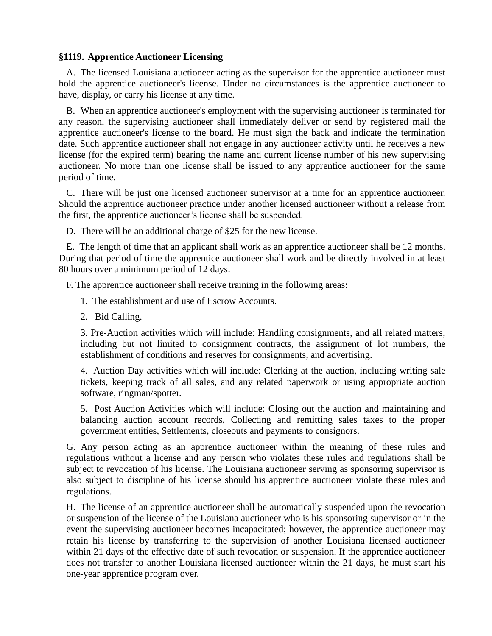#### **§1119. Apprentice Auctioneer Licensing**

A. The licensed Louisiana auctioneer acting as the supervisor for the apprentice auctioneer must hold the apprentice auctioneer's license. Under no circumstances is the apprentice auctioneer to have, display, or carry his license at any time.

B. When an apprentice auctioneer's employment with the supervising auctioneer is terminated for any reason, the supervising auctioneer shall immediately deliver or send by registered mail the apprentice auctioneer's license to the board. He must sign the back and indicate the termination date. Such apprentice auctioneer shall not engage in any auctioneer activity until he receives a new license (for the expired term) bearing the name and current license number of his new supervising auctioneer. No more than one license shall be issued to any apprentice auctioneer for the same period of time.

C. There will be just one licensed auctioneer supervisor at a time for an apprentice auctioneer. Should the apprentice auctioneer practice under another licensed auctioneer without a release from the first, the apprentice auctioneer's license shall be suspended.

D. There will be an additional charge of \$25 for the new license.

E. The length of time that an applicant shall work as an apprentice auctioneer shall be 12 months. During that period of time the apprentice auctioneer shall work and be directly involved in at least 80 hours over a minimum period of 12 days.

F. The apprentice auctioneer shall receive training in the following areas:

- 1. The establishment and use of Escrow Accounts.
- 2. Bid Calling.

3. Pre-Auction activities which will include: Handling consignments, and all related matters, including but not limited to consignment contracts, the assignment of lot numbers, the establishment of conditions and reserves for consignments, and advertising.

4. Auction Day activities which will include: Clerking at the auction, including writing sale tickets, keeping track of all sales, and any related paperwork or using appropriate auction software, ringman/spotter.

5. Post Auction Activities which will include: Closing out the auction and maintaining and balancing auction account records, Collecting and remitting sales taxes to the proper government entities, Settlements, closeouts and payments to consignors.

G. Any person acting as an apprentice auctioneer within the meaning of these rules and regulations without a license and any person who violates these rules and regulations shall be subject to revocation of his license. The Louisiana auctioneer serving as sponsoring supervisor is also subject to discipline of his license should his apprentice auctioneer violate these rules and regulations.

H. The license of an apprentice auctioneer shall be automatically suspended upon the revocation or suspension of the license of the Louisiana auctioneer who is his sponsoring supervisor or in the event the supervising auctioneer becomes incapacitated; however, the apprentice auctioneer may retain his license by transferring to the supervision of another Louisiana licensed auctioneer within 21 days of the effective date of such revocation or suspension. If the apprentice auctioneer does not transfer to another Louisiana licensed auctioneer within the 21 days, he must start his one-year apprentice program over.